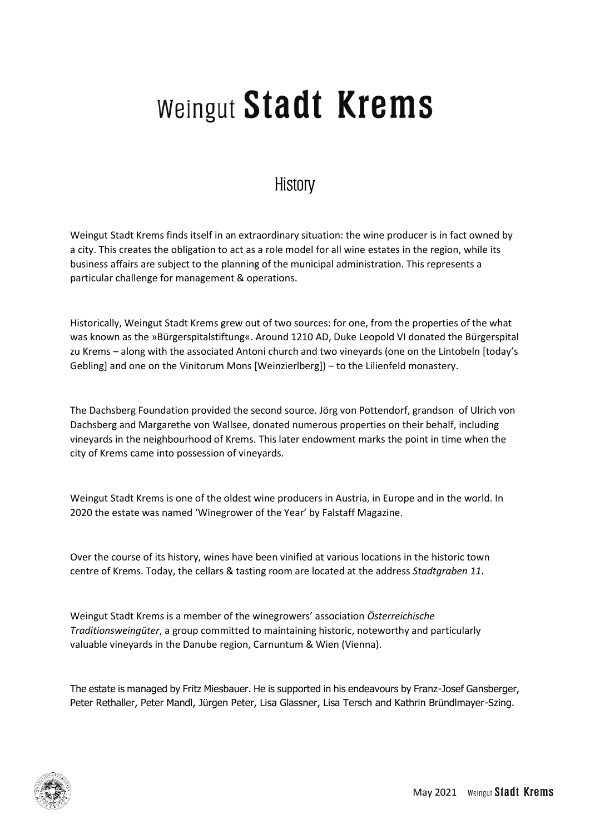# Weingut Stadt Krems

#### History

Weingut Stadt Krems finds itself in an extraordinary situation: the wine producer is in fact owned by a city. This creates the obligation to act as a role model for all wine estates in the region, while its business affairs are subject to the planning of the municipal administration. This represents a particular challenge for management & operations.

Historically, Weingut Stadt Krems grew out of two sources: for one, from the properties of the what was known as the »Bürgerspitalstiftung«. Around 1210 AD, Duke Leopold VI donated the Bürgerspital zu Krems – along with the associated Antoni church and two vineyards (one on the Lintobeln [today's Gebling] and one on the Vinitorum Mons [Weinzierlberg]) – to the Lilienfeld monastery.

The Dachsberg Foundation provided the second source. Jörg von Pottendorf, grandson of Ulrich von Dachsberg and Margarethe von Wallsee, donated numerous properties on their behalf, including vineyards in the neighbourhood of Krems. This later endowment marks the point in time when the city of Krems came into possession of vineyards.

Weingut Stadt Krems is one of the oldest wine producers in Austria, in Europe and in the world. In 2020 the estate was named 'Winegrower of the Year' by Falstaff Magazine.

Over the course of its history, wines have been vinified at various locations in the historic town centre of Krems. Today, the cellars & tasting room are located at the address *Stadtgraben 11*.

Weingut Stadt Krems is a member of the winegrowers' association *Österreichische Traditionsweingüter*, a group committed to maintaining historic, noteworthy and particularly valuable vineyards in the Danube region, Carnuntum & Wien (Vienna).

The estate is managed by Fritz Miesbauer. He is supported in his endeavours by Franz-Josef Gansberger, Peter Rethaller, Peter Mandl, Jürgen Peter, Lisa Glassner, Lisa Tersch and Kathrin Bründlmayer-Szing.

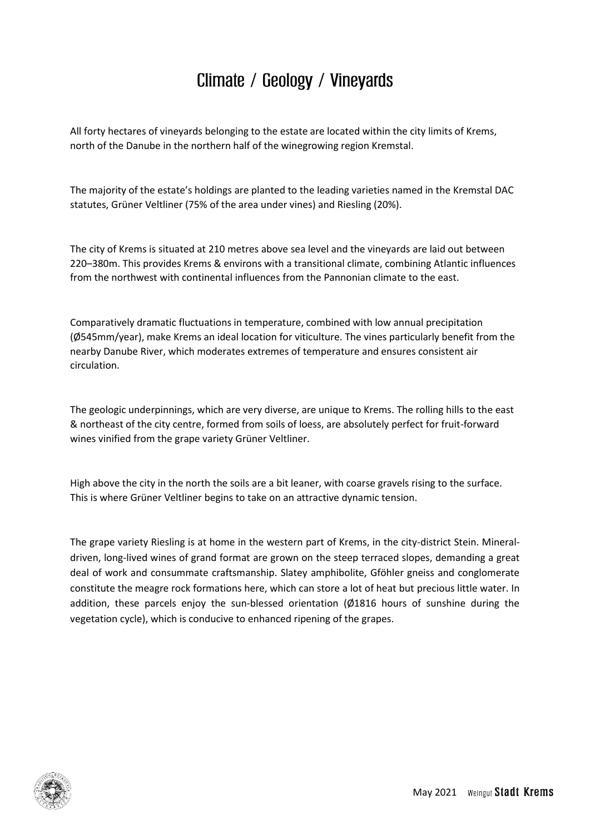### Climate / Geology / Vineyards

All forty hectares of vineyards belonging to the estate are located within the city limits of Krems, north of the Danube in the northern half of the winegrowing region Kremstal.

The majority of the estate's holdings are planted to the leading varieties named in the Kremstal DAC statutes, Grüner Veltliner (75% of the area under vines) and Riesling (20%).

The city of Krems is situated at 210 metres above sea level and the vineyards are laid out between 220–380m. This provides Krems & environs with a transitional climate, combining Atlantic influences from the northwest with continental influences from the Pannonian climate to the east.

Comparatively dramatic fluctuations in temperature, combined with low annual precipitation (Ø545mm/year), make Krems an ideal location for viticulture. The vines particularly benefit from the nearby Danube River, which moderates extremes of temperature and ensures consistent air circulation.

The geologic underpinnings, which are very diverse, are unique to Krems. The rolling hills to the east & northeast of the city centre, formed from soils of loess, are absolutely perfect for fruit-forward wines vinified from the grape variety Grüner Veltliner.

High above the city in the north the soils are a bit leaner, with coarse gravels rising to the surface. This is where Grüner Veltliner begins to take on an attractive dynamic tension.

The grape variety Riesling is at home in the western part of Krems, in the city-district Stein. Mineraldriven, long-lived wines of grand format are grown on the steep terraced slopes, demanding a great deal of work and consummate craftsmanship. Slatey amphibolite, Gföhler gneiss and conglomerate constitute the meagre rock formations here, which can store a lot of heat but precious little water. In addition, these parcels enjoy the sun-blessed orientation (Ø1816 hours of sunshine during the vegetation cycle), which is conducive to enhanced ripening of the grapes.

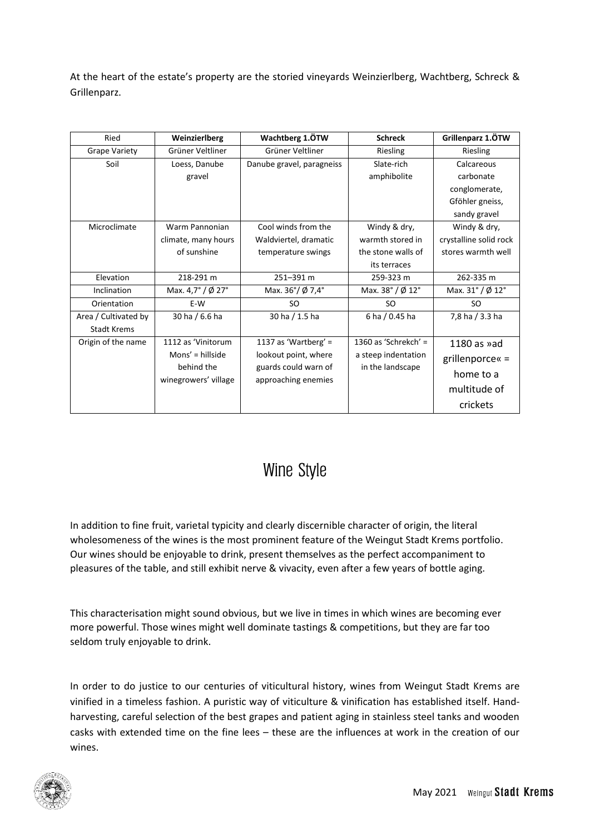At the heart of the estate's property are the storied vineyards Weinzierlberg, Wachtberg, Schreck & Grillenparz.

| Ried                                       | Weinzierlberg                                                                   | Wachtberg 1.ÖTW                                                                                 | <b>Schreck</b>                                                                      | Grillenparz 1.ÖTW                                                                                                                           |
|--------------------------------------------|---------------------------------------------------------------------------------|-------------------------------------------------------------------------------------------------|-------------------------------------------------------------------------------------|---------------------------------------------------------------------------------------------------------------------------------------------|
| <b>Grape Variety</b>                       | Grüner Veltliner                                                                | Grüner Veltliner                                                                                | Riesling                                                                            | Riesling                                                                                                                                    |
| Soil<br>Microclimate                       | Loess, Danube<br>gravel<br>Warm Pannonian<br>climate, many hours<br>of sunshine | Danube gravel, paragneiss<br>Cool winds from the<br>Waldviertel, dramatic<br>temperature swings | Slate-rich<br>amphibolite<br>Windy & dry,<br>warmth stored in<br>the stone walls of | Calcareous<br>carbonate<br>conglomerate,<br>Gföhler gneiss,<br>sandy gravel<br>Windy & dry,<br>crystalline solid rock<br>stores warmth well |
|                                            |                                                                                 |                                                                                                 | its terraces                                                                        |                                                                                                                                             |
| Elevation                                  | 218-291 m                                                                       | 251-391 m                                                                                       | 259-323 m                                                                           | 262-335 m                                                                                                                                   |
| Inclination                                | Max. $4.7^{\circ}$ / Ø 27°                                                      | Max. $36^{\circ}/\cancel{0}7.4^{\circ}$                                                         | Max. $38^\circ$ / Ø 12 $^\circ$                                                     | Max. $31^\circ$ / Ø 12 $^\circ$                                                                                                             |
| Orientation                                | E-W                                                                             | <b>SO</b>                                                                                       | <b>SO</b>                                                                           | <b>SO</b>                                                                                                                                   |
| Area / Cultivated by<br><b>Stadt Krems</b> | 30 ha / 6.6 ha                                                                  | 30 ha / 1.5 ha                                                                                  | 6 ha / 0.45 ha                                                                      | 7,8 ha / 3.3 ha                                                                                                                             |
| Origin of the name                         | 1112 as 'Vinitorum<br>Mons' = hillside<br>behind the<br>winegrowers' village    | 1137 as 'Wartberg' =<br>lookout point, where<br>guards could warn of<br>approaching enemies     | 1360 as 'Schrekch' =<br>a steep indentation<br>in the landscape                     | 1180 as $\delta$ ad<br>grillenporce« =<br>home to a<br>multitude of<br>crickets                                                             |

#### Wine Style

In addition to fine fruit, varietal typicity and clearly discernible character of origin, the literal wholesomeness of the wines is the most prominent feature of the Weingut Stadt Krems portfolio. Our wines should be enjoyable to drink, present themselves as the perfect accompaniment to pleasures of the table, and still exhibit nerve & vivacity, even after a few years of bottle aging.

This characterisation might sound obvious, but we live in times in which wines are becoming ever more powerful. Those wines might well dominate tastings & competitions, but they are far too seldom truly enjoyable to drink.

In order to do justice to our centuries of viticultural history, wines from Weingut Stadt Krems are vinified in a timeless fashion. A puristic way of viticulture & vinification has established itself. Handharvesting, careful selection of the best grapes and patient aging in stainless steel tanks and wooden casks with extended time on the fine lees – these are the influences at work in the creation of our wines.

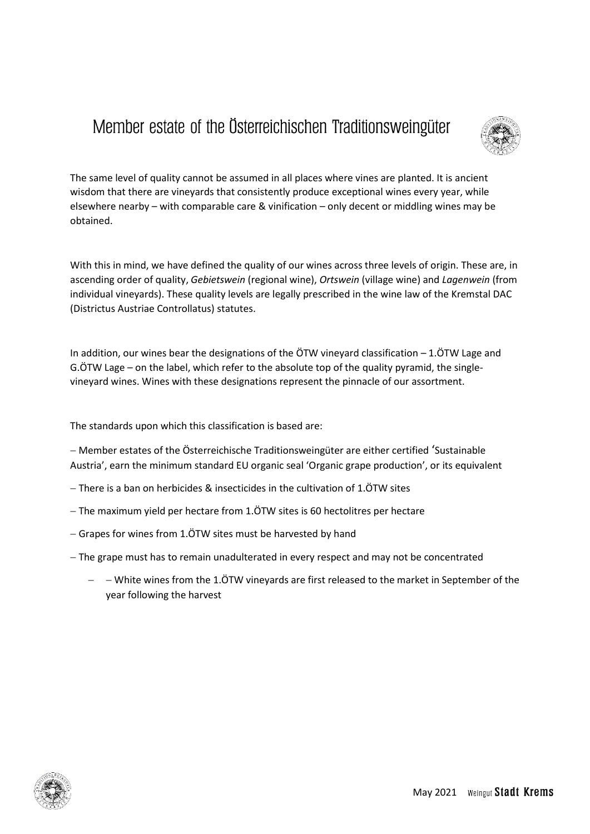## Member estate of the Österreichischen Traditionsweingüter



The same level of quality cannot be assumed in all places where vines are planted. It is ancient wisdom that there are vineyards that consistently produce exceptional wines every year, while elsewhere nearby – with comparable care & vinification – only decent or middling wines may be obtained.

With this in mind, we have defined the quality of our wines across three levels of origin. These are, in ascending order of quality, *Gebietswein* (regional wine), *Ortswein* (village wine) and *Lagenwein* (from individual vineyards). These quality levels are legally prescribed in the wine law of the Kremstal DAC (Districtus Austriae Controllatus) statutes.

In addition, our wines bear the designations of the ÖTW vineyard classification – 1.ÖTW Lage and G.ÖTW Lage – on the label, which refer to the absolute top of the quality pyramid, the singlevineyard wines. Wines with these designations represent the pinnacle of our assortment.

The standards upon which this classification is based are:

 Member estates of the Österreichische Traditionsweingüter are either certified 'Sustainable Austria', earn the minimum standard EU organic seal 'Organic grape production', or its equivalent

- There is a ban on herbicides & insecticides in the cultivation of 1.ÖTW sites
- $-$  The maximum yield per hectare from 1. $\ddot{\text{O}}$ TW sites is 60 hectolitres per hectare
- Grapes for wines from 1.ÖTW sites must be harvested by hand
- The grape must has to remain unadulterated in every respect and may not be concentrated
	- $-$  White wines from the 1.ÖTW vineyards are first released to the market in September of the year following the harvest

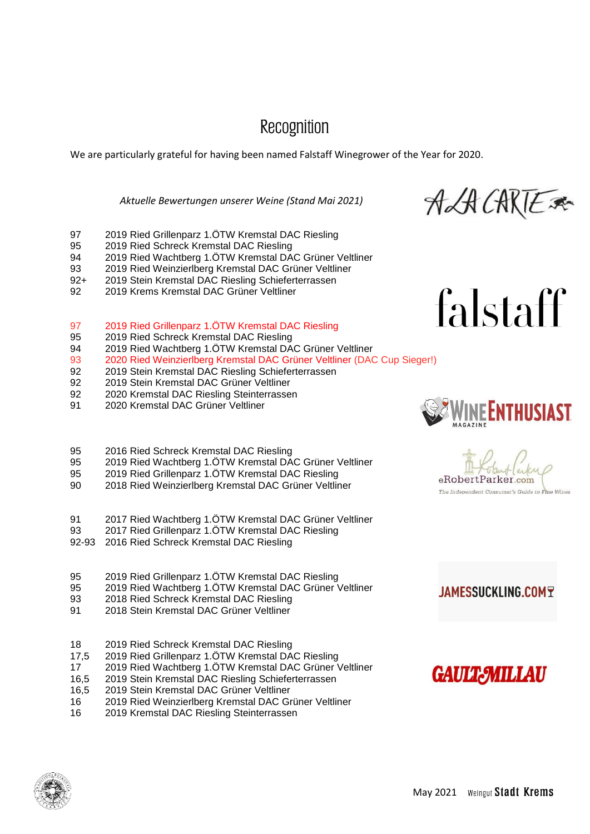#### Recognition

We are particularly grateful for having been named Falstaff Winegrower of the Year for 2020.

#### *Aktuelle Bewertungen unserer Weine (Stand Mai 2021)*

ALA CARTE A

- 97 2019 Ried Grillenparz 1.ÖTW Kremstal DAC Riesling
- 95 2019 Ried Schreck Kremstal DAC Riesling
- 94 2019 Ried Wachtberg 1.ÖTW Kremstal DAC Grüner Veltliner
- 93 2019 Ried Weinzierlberg Kremstal DAC Grüner Veltliner
- 92+ 2019 Stein Kremstal DAC Riesling Schieferterrassen
- 92 2019 Krems Kremstal DAC Grüner Veltliner
- 97 2019 Ried Grillenparz 1.ÖTW Kremstal DAC Riesling
- 95 2019 Ried Schreck Kremstal DAC Riesling
- 94 2019 Ried Wachtberg 1.ÖTW Kremstal DAC Grüner Veltliner
- 93 2020 Ried Weinzierlberg Kremstal DAC Grüner Veltliner (DAC Cup Sieger!)
- 92 2019 Stein Kremstal DAC Riesling Schieferterrassen
- 92 2019 Stein Kremstal DAC Grüner Veltliner
- 92 2020 Kremstal DAC Riesling Steinterrassen
- 91 2020 Kremstal DAC Grüner Veltliner
- 95 2016 Ried Schreck Kremstal DAC Riesling
- 95 2019 Ried Wachtberg 1.ÖTW Kremstal DAC Grüner Veltliner
- 95 2019 Ried Grillenparz 1.ÖTW Kremstal DAC Riesling
- 90 2018 Ried Weinzierlberg Kremstal DAC Grüner Veltliner
- 91 2017 Ried Wachtberg 1.ÖTW Kremstal DAC Grüner Veltliner
- 93 2017 Ried Grillenparz 1.ÖTW Kremstal DAC Riesling
- 92-93 2016 Ried Schreck Kremstal DAC Riesling
- 95 2019 Ried Grillenparz 1.ÖTW Kremstal DAC Riesling
- 95 2019 Ried Wachtberg 1.ÖTW Kremstal DAC Grüner Veltliner
- 93 2018 Ried Schreck Kremstal DAC Riesling
- 91 2018 Stein Kremstal DAC Grüner Veltliner
- 18 2019 Ried Schreck Kremstal DAC Riesling
- 17,5 2019 Ried Grillenparz 1.ÖTW Kremstal DAC Riesling
- 17 2019 Ried Wachtberg 1.ÖTW Kremstal DAC Grüner Veltliner
- 16,5 2019 Stein Kremstal DAC Riesling Schieferterrassen
- 16,5 2019 Stein Kremstal DAC Grüner Veltliner
- 16 2019 Ried Weinzierlberg Kremstal DAC Grüner Veltliner
- 16 2019 Kremstal DAC Riesling Steinterrassen



falstaff

eRobertParker.com The Independent Consumer's Guide to Fine Wine

#### **JAMESSUCKLING.COMT**